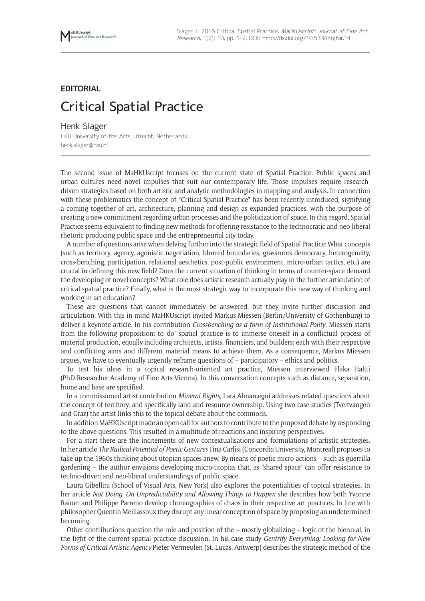## **EDITORIAL** Critical Spatial Practice

Henk Slager

HKU University of the Arts, Utrecht, Netherlands [henk.slager@hku.nl](mailto:henk.slager@hku.nl)

The second issue of MaHKUscript focuses on the current state of Spatial Practice. Public spaces and urban cultures need novel impulses that suit our contemporary life. Those impulses require researchdriven strategies based on both artistic and analytic methodologies in mapping and analysis. In connection with these problematics the concept of "Critical Spatial Practice" has been recently introduced, signifying a coming together of art, architecture, planning and design as expanded practices, with the purpose of creating a new commitment regarding urban processes and the politicization of space. In this regard, Spatial Practice seems equivalent to finding new methods for offering resistance to the technocratic and neo-liberal rhetoric producing public space and the entrepreneurial city today.

A number of questions arise when delving further into the strategic field of Spatial Practice: What concepts (such as territory, agency, agonistic negotiation, blurred boundaries, grassroots democracy, heterogeneity, cross-benching, participation, relational aesthetics, post-public environment, micro-urban tactics, etc.) are crucial in defining this new field? Does the current situation of thinking in terms of counter-space demand the developing of novel concepts? What role does artistic research actually play in the further articulation of critical spatial practice? Finally, what is the most strategic way to incorporate this new way of thinking and working in art education?

These are questions that cannot immediately be answered, but they invite further discussion and articulation. With this in mind MaHKUscript invited Markus Miessen (Berlin/University of Gothenburg) to deliver a keynote article. In his contribution *Crossbenching as a form of Institutional Polity*, Miessen starts from the following proposition: to 'do' spatial practice is to immerse oneself in a conflictual process of material production, equally including architects, artists, financiers, and builders; each with their respective and conflicting aims and different material means to achieve them. As a consequence, Markus Miessen argues, we have to eventually urgently reframe questions of – participatory – ethics and politics.

To test his ideas in a topical research-oriented art practice, Miessen interviewed Flaka Haliti (PhD Researcher Academy of Fine Arts Vienna). In this conversation concepts such as distance, separation, home and base are specified.

In a commissioned artist contribution *Mineral Rights*, Lara Almarcegui addresses related questions about the concept of territory, and specifically land and resource ownership. Using two case studies (Tveitvangen and Graz) the artist links this to the topical debate about the commons.

In addition MaHKUscript made an open call for authors to contribute to the proposed debate by responding to the above questions. This resulted in a multitude of reactions and inspiring perspectives.

For a start there are the incitements of new contextualisations and formulations of artistic strategies. In her article *The Radical Potential of Poetic Gestures* Tina Carlisi (Concordia University, Montreal) proposes to take up the 1960s thinking about utopian spaces anew. By means of poetic micro-actions – such as guerrilla gardening – the author envisions developing micro-utopias that, as "shared space" can offer resistance to techno-driven and neo-liberal understandings of public space.

Laura Gibellini (School of Visual Arts, New York) also explores the potentialities of topical strategies. In her article *Not Doing. On Unpredictability and Allowing Things to Happen* she describes how both Yvonne Rainer and Philippe Parreno develop choreographies of chaos in their respective art practices. In line with philosopher Quentin Meillassoux they disrupt any linear conception of space by proposing an undetermined becoming.

Other contributions question the role and position of the – mostly globalizing – logic of the biennial, in the light of the current spatial practice discussion. In his case study *Gentrify Everything: Looking for New Forms of Critical Artistic Agency* Pieter Vermeulen (St. Lucas, Antwerp) describes the strategic method of the